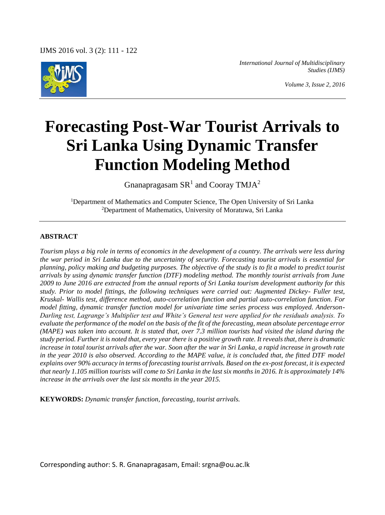

*International Journal of Multidisciplinary Studies (IJMS)*

*Volume 3, Issue 2, 2016*

# **Forecasting Post-War Tourist Arrivals to Sri Lanka Using Dynamic Transfer Function Modeling Method**

Gnanapragasam  $SR<sup>1</sup>$  and Cooray TMJA<sup>2</sup>

<sup>1</sup>Department of Mathematics and Computer Science, The Open University of Sri Lanka <sup>2</sup>Department of Mathematics, University of Moratuwa, Sri Lanka

## **ABSTRACT**

*Tourism plays a big role in terms of economics in the development of a country. The arrivals were less during the war period in Sri Lanka due to the uncertainty of security. Forecasting tourist arrivals is essential for planning, policy making and budgeting purposes. The objective of the study is to fit a model to predict tourist arrivals by using dynamic transfer function (DTF) modeling method. The monthly tourist arrivals from June 2009 to June 2016 are extracted from the annual reports of Sri Lanka tourism development authority for this study. Prior to model fittings, the following techniques were carried out: Augmented Dickey- Fuller test, Kruskal- Wallis test, difference method, auto-correlation function and partial auto-correlation function. For model fitting, dynamic transfer function model for univariate time series process was employed. Anderson-Darling test, Lagrange's Multiplier test and White's General test were applied for the residuals analysis. To evaluate the performance of the model on the basis of the fit of the forecasting, mean absolute percentage error (MAPE) was taken into account. It is stated that, over 7.3 million tourists had visited the island during the study period. Further it is noted that, every year there is a positive growth rate. It reveals that, there is dramatic increase in total tourist arrivals after the war. Soon after the war in Sri Lanka, a rapid increase in growth rate in the year 2010 is also observed. According to the MAPE value, it is concluded that, the fitted DTF model explains over 90% accuracy in terms of forecasting tourist arrivals. Based on the ex-post forecast, it is expected that nearly 1.105 million tourists will come to Sri Lanka in the last six months in 2016. It is approximately 14% increase in the arrivals over the last six months in the year 2015.*

**KEYWORDS:** *Dynamic transfer function, forecasting, tourist arrivals.*

Corresponding author: S. R. Gnanapragasam, Email: srgna@ou.ac.lk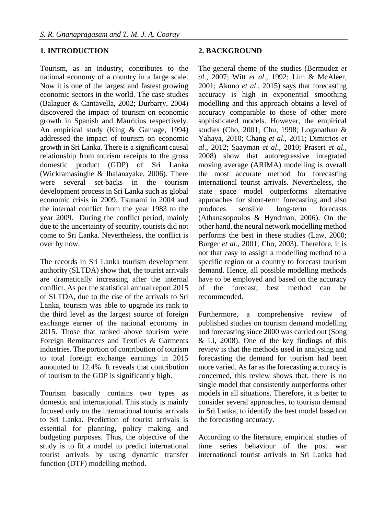## **1. INTRODUCTION**

Tourism, as an industry, contributes to the national economy of a country in a large scale. Now it is one of the largest and fastest growing economic sectors in the world. The case studies (Balaguer & Cantavella, 2002; Durbarry, 2004) discovered the impact of tourism on economic growth in Spanish and Mauritius respectively. An empirical study (King & Gamage, 1994) addressed the impact of tourism on economic growth in Sri Lanka. There is a significant causal relationship from tourism receipts to the gross domestic product (GDP) of Sri Lanka (Wickramasinghe & Ihalanayake, 2006). There were several set-backs in the tourism development process in Sri Lanka such as global economic crisis in 2009, Tsunami in 2004 and the internal conflict from the year 1983 to the year 2009. During the conflict period, mainly due to the uncertainty of security, tourists did not come to Sri Lanka. Nevertheless, the conflict is over by now.

The records in Sri Lanka tourism development authority (SLTDA) show that, the tourist arrivals are dramatically increasing after the internal conflict. As per the statistical annual report 2015 of SLTDA, due to the rise of the arrivals to Sri Lanka, tourism was able to upgrade its rank to the third level as the largest source of foreign exchange earner of the national economy in 2015. Those that ranked above tourism were Foreign Remittances and Textiles & Garments industries. The portion of contribution of tourism to total foreign exchange earnings in 2015 amounted to 12.4%. It reveals that contribution of tourism to the GDP is significantly high.

Tourism basically contains two types as domestic and international. This study is mainly focused only on the international tourist arrivals to Sri Lanka. Prediction of tourist arrivals is essential for planning, policy making and budgeting purposes. Thus, the objective of the study is to fit a model to predict international tourist arrivals by using dynamic transfer function (DTF) modelling method.

## **2. BACKGROUND**

The general theme of the studies (Bermudez *et al*., 2007; Witt *et al*., 1992; Lim & McAleer, 2001; Akuno *et al*., 2015) says that forecasting accuracy is high in exponential smoothing modelling and this approach obtains a level of accuracy comparable to those of other more sophisticated models. However, the empirical studies (Cho, 2001; Chu, 1998; Loganathan & Yahaya, 2010; Chang *et al*., 2011; Dimitrios *et al*., 2012; Saayman *et al*., 2010; Prasert *et al*., 2008) show that autoregressive integrated moving average (ARIMA) modelling is overall the most accurate method for forecasting international tourist arrivals. Nevertheless, the state space model outperforms alternative approaches for short-term forecasting and also produces sensible long-term forecasts (Athanasopoulos & Hyndman, 2006). On the other hand, the neural network modelling method performs the best in these studies (Law, 2000; Burger *et al*., 2001; Cho, 2003). Therefore, it is not that easy to assign a modelling method to a specific region or a country to forecast tourism demand. Hence, all possible modelling methods have to be employed and based on the accuracy of the forecast, best method can be recommended.

Furthermore, a comprehensive review of published studies on tourism demand modelling and forecasting since 2000 was carried out (Song & Li, 2008). One of the key findings of this review is that the methods used in analysing and forecasting the demand for tourism had been more varied. As far as the forecasting accuracy is concerned, this review shows that, there is no single model that consistently outperforms other models in all situations. Therefore, it is better to consider several approaches, to tourism demand in Sri Lanka, to identify the best model based on the forecasting accuracy.

According to the literature, empirical studies of time series behaviour of the post war international tourist arrivals to Sri Lanka had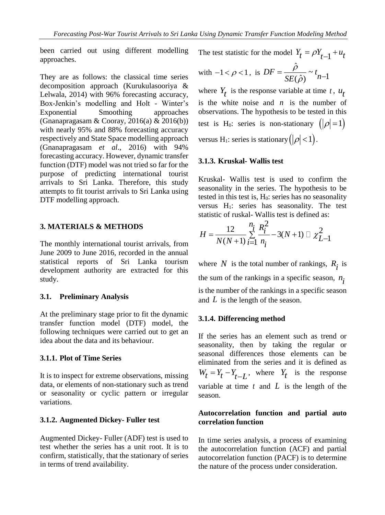been carried out using different modelling approaches.

They are as follows: the classical time series decomposition approach (Kurukulasooriya & Lelwala, 2014) with 96% forecasting accuracy, Box-Jenkin's modelling and Holt - Winter's Exponential Smoothing approaches (Gnanapragasam & Cooray, 2016(a) & 2016(b)) with nearly 95% and 88% forecasting accuracy respectively and State Space modelling approach (Gnanapragasam *et al*., 2016) with 94% forecasting accuracy. However, dynamic transfer function (DTF) model was not tried so far for the purpose of predicting international tourist arrivals to Sri Lanka. Therefore, this study attempts to fit tourist arrivals to Sri Lanka using DTF modelling approach.

# **3. MATERIALS & METHODS**

The monthly international tourist arrivals, from June 2009 to June 2016, recorded in the annual statistical reports of Sri Lanka tourism development authority are extracted for this study.

## **3.1. Preliminary Analysis**

At the preliminary stage prior to fit the dynamic transfer function model (DTF) model, the following techniques were carried out to get an idea about the data and its behaviour.

## **3.1.1. Plot of Time Series**

It is to inspect for extreme observations, missing data, or elements of non-stationary such as trend or seasonality or cyclic pattern or irregular variations.

# **3.1.2. Augmented Dickey- Fuller test**

Augmented Dickey- Fuller (ADF) test is used to test whether the series has a unit root. It is to confirm, statistically, that the stationary of series in terms of trend availability.

The test statistic for the model  $Y_t = \rho Y_{t-1} + u_t$ with  $-1 < \rho < 1$ , is  $DF = \frac{\hat{\rho}}{SE(\hat{\rho})} \sim t_{n-1}$  $=\frac{1}{SF(\hat{\Omega})}\approx l_{n-1}$ 

where  $Y_t$  is the response variable at time t,  $u_t$ is the white noise and *n* is the number of observations. The hypothesis to be tested in this test is H<sub>0</sub>: series is non-stationary  $(|\rho|=1)$ versus H<sub>1</sub>: series is stationary ( $|\rho|$  < 1).

# **3.1.3. Kruskal- Wallis test**

Kruskal- Wallis test is used to confirm the seasonality in the series. The hypothesis to be tested in this test is,  $H_0$ : series has no seasonality versus H1: series has seasonality. The test statistic of ruskal- Wallis test is defined as:

$$
H = \frac{12}{N(N+1)} \sum_{i=1}^{n_i} \frac{R_i^2}{n_i} - 3(N+1) \sqcup \chi_{L-1}^2
$$

where  $N$  is the total number of rankings,  $R_i$  is the sum of the rankings in a specific season,  $n_i$ is the number of the rankings in a specific season and *L* is the length of the season.

# **3.1.4. Differencing method**

If the series has an element such as trend or seasonality, then by taking the regular or seasonal differences those elements can be eliminated from the series and it is defined as  $W_t = Y_t - Y_{t-L}$ , where  $Y_t$  is the response variable at time  $t$  and  $L$  is the length of the season.

# **Autocorrelation function and partial auto correlation function**

In time series analysis, a process of examining the autocorrelation function (ACF) and partial autocorrelation function (PACF) is to determine the nature of the process under consideration.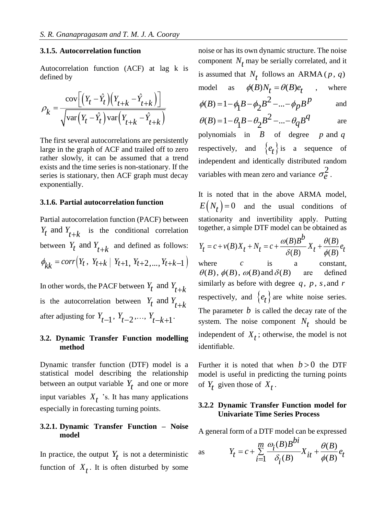## **3.1.5. Autocorrelation function**

Autocorrelation function (ACF) at lag k is defined by

$$
\rho_k = \frac{\text{cov}\left[\left(Y_t - \hat{Y}_t\right)\left(Y_{t+k} - \hat{Y}_{t+k}\right)\right]}{\sqrt{\text{var}\left(Y_t - \hat{Y}_t\right)\text{var}\left(Y_{t+k} - \hat{Y}_{t+k}\right)}}
$$

The first several autocorrelations are persistently large in the graph of ACF and trailed off to zero rather slowly, it can be assumed that a trend exists and the time series is non-stationary. If the series is stationary, then ACF graph must decay exponentially.

#### **3.1.6. Partial autocorrelation function**

Partial autocorrelation function (PACF) between  $Y_t$  and  $Y_{t+k}$  is the conditional correlation between  $Y_t$  and  $Y_{t+k}$  and defined as follows:  $\phi_{kk} = corr(Y_t, Y_{t+k} | Y_{t+1}, Y_{t+2},..., Y_{t+k-1})$ 

In other words, the PACF between  $Y_t$  and  $Y_{t+k}$ is the autocorrelation between  $Y_t$  and  $Y_{t+k}$ after adjusting for  $Y_{t-1}$ ,  $Y_{t-2}$ , ...,  $Y_{t-k+1}$ .

## **3.2. Dynamic Transfer Function modelling method**

Dynamic transfer function (DTF) model is a statistical model describing the relationship between an output variable  $Y_t$  and one or more input variables  $X_t$  's. It has many applications especially in forecasting turning points.

## **3.2.1. Dynamic Transfer Function – Noise model**

In practice, the output  $Y_t$  is not a deterministic function of  $X_t$ . It is often disturbed by some noise or has its own dynamic structure. The noise component  $N_t$  may be serially correlated, and it is assumed that  $N_t$  follows an ARMA ( $p$ ,  $q$ ) model as  $\phi(B) N_t = \theta(B) e_t$ , where  $\phi(B) = 1 - \phi_1 B - \phi_2 B^2 - \dots - \phi_p B^p$ and  $\theta(B)=1-\theta_1B-\theta_2B^2-...-\theta_qB^q$ are polynomials in  $B$  of degree  $p$  and  $q$ respectively, and  $\{e_t\}$  is a sequence of independent and identically distributed random variables with mean zero and variance  $\sigma_e^2$ .

It is noted that in the above ARMA model,  $E(N_t) = 0$  and the usual conditions of stationarity and invertibility apply. Putting together, a simple DTF model can be obtained as

$$
Y_t = c + v(B)X_t + N_t = c + \frac{\omega(B)B^b}{\delta(B)} X_t + \frac{\theta(B)}{\phi(B)} e_t
$$
  
where *c* is a constant,  
 $\theta(B)$ ,  $\phi(B)$ ,  $\omega(B)$  and  $\delta(B)$  are defined  
similarly as before with degree *q*, *p*, *s*, and *r*  
respectively, and  $\{e_t\}$  are white noise series.  
The parameter *b* is called the decay rate of the  
system. The noise component  $N_t$  should be  
independent of  $X_t$ ; otherwise, the model is not  
identifiable.

Further it is noted that when  $b > 0$  the DTF model is useful in predicting the turning points of  $Y_t$  given those of  $X_t$ .

## **3.2.2 Dynamic Transfer Function model for Univariate Time Series Process**

A general form of a DTF model can be expressed

as 
$$
Y_t = c + \sum_{i=1}^{m} \frac{\omega_i(B)B^{bi}}{\delta_i(B)} X_{it} + \frac{\theta(B)}{\phi(B)} e_t
$$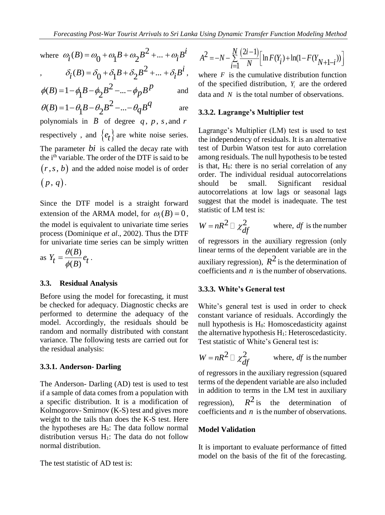where 
$$
\omega_i(B) = \omega_0 + \omega_1 B + \omega_2 B^2 + \dots + \omega_i B^i
$$
  
,  $\delta_i(B) = \delta_0 + \delta_1 B + \delta_2 B^2 + \dots + \delta_i B^i$ ,

$$
\delta_i(B) = \delta_0 + \delta_1 B + \delta_2 B^2 + \dots + \delta_i B^i,
$$
\n
$$
(B) - 1 \quad \text{if } B \neq B^2 \quad \text{if } B^i \text{ and } B^i \text{ is odd}
$$

$$
\phi(B) = 1 - \phi_1 B - \phi_2 B^2 - \dots - \phi_p B^p
$$
 and

$$
\theta(B) = 1 - \theta_1 B - \theta_2 B^2 - \dots - \theta_q B^q
$$
 are

polynomials in  $B$  of degree  $q, p, s,$  and  $r$ respectively, and  $\{e_t\}$  are white noise series. The parameter *bi* is called the decay rate with the i<sup>th</sup> variable. The order of the DTF is said to be  $(r, s, b)$  and the added noise model is of order  $(p, q)$ .

Since the DTF model is a straight forward extension of the ARMA model, for  $\omega_i(B) = 0$ , the model is equivalent to univariate time series process (Dominique *et al*., 2002). Thus the DTF for univariate time series can be simply written

as 
$$
Y_t = \frac{\theta(B)}{\phi(B)} e_t
$$
.

#### **3.3. Residual Analysis**

Before using the model for forecasting, it must be checked for adequacy. Diagnostic checks are performed to determine the adequacy of the model. Accordingly, the residuals should be random and normally distributed with constant variance. The following tests are carried out for the residual analysis:

#### **3.3.1. Anderson- Darling**

The Anderson- Darling (AD) test is used to test if a sample of data comes from a population with a specific distribution. It is a modification of Kolmogorov- Smirnov (K-S) test and gives more weight to the tails than does the K-S test. Here the hypotheses are  $H_0$ : The data follow normal distribution versus  $H_1$ : The data do not follow normal distribution.

The test statistic of AD test is:

$$
A^{2} = -N - \sum_{i=1}^{N} \frac{(2i-1)}{N} \Big[ \ln F(Y_{i}) + \ln(1 - F(Y_{N+1-i})) \Big]
$$

where  $F$  is the cumulative distribution function of the specified distribution,  $Y_i$  are the ordered data and *N* is the total number of observations.

#### **3.3.2. Lagrange's Multiplier test**

Lagrange's Multiplier (LM) test is used to test the independency of residuals. It is an alternative test of Durbin Watson test for auto correlation among residuals. The null hypothesis to be tested is that,  $H_0$ : there is no serial correlation of any order. The individual residual autocorrelations should be small. Significant residual autocorrelations at low lags or seasonal lags suggest that the model is inadequate. The test statistic of LM test is:

$$
W = nR^2 \Box \chi_{\text{df}}^2
$$
 where, *df* is the number

of regressors in the auxiliary regression (only linear terms of the dependent variable are in the auxiliary regression),  $R^2$  is the determination of coefficients and  $n$  is the number of observations.

## **3.3.3. White's General test**

White's general test is used in order to check constant variance of residuals. Accordingly the null hypothesis is  $H_0$ : Homoscedasticity against the alternative hypothesis H1: Heteroscedasticity. Test statistic of White's General test is:

$$
W = nR^2 \Box \chi^2_{\,}
$$
 where, *df* is the number

of regressors in the auxiliary regression (squared terms of the dependent variable are also included in addition to terms in the LM test in auxiliary regression),  $R^2$  is the determination of coefficients and  $n$  is the number of observations.

#### **Model Validation**

It is important to evaluate performance of fitted model on the basis of the fit of the forecasting.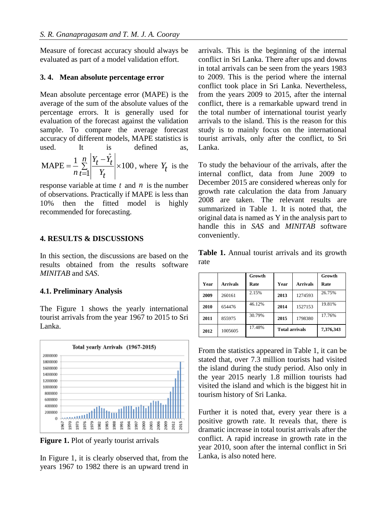Measure of forecast accuracy should always be evaluated as part of a model validation effort.

## **3. 4. Mean absolute percentage error**

Mean absolute percentage error (MAPE) is the average of the sum of the absolute values of the percentage errors. It is generally used for evaluation of the forecast against the validation sample. To compare the average forecast accuracy of different models, MAPE statistics is used. It is defined as,

$$
\text{MAPE} = \frac{1}{n} \sum_{t=1}^{n} \left| \frac{Y_t - \hat{Y}_t}{Y_t} \right| \times 100, \text{ where } Y_t \text{ is the}
$$

response variable at time  $t$  and  $n$  is the number of observations. Practically if MAPE is less than 10% then the fitted model is highly recommended for forecasting.

## **4. RESULTS & DISCUSSIONS**

In this section, the discussions are based on the results obtained from the results software *MINITAB* and *SAS*.

## **4.1. Preliminary Analysis**

The Figure 1 shows the yearly international tourist arrivals from the year 1967 to 2015 to Sri Lanka.



**Figure 1.** Plot of yearly tourist arrivals

In Figure 1, it is clearly observed that, from the years 1967 to 1982 there is an upward trend in

arrivals. This is the beginning of the internal conflict in Sri Lanka. There after ups and downs in total arrivals can be seen from the years 1983 to 2009. This is the period where the internal conflict took place in Sri Lanka. Nevertheless, from the years 2009 to 2015, after the internal conflict, there is a remarkable upward trend in the total number of international tourist yearly arrivals to the island. This is the reason for this study is to mainly focus on the international tourist arrivals, only after the conflict, to Sri Lanka.

To study the behaviour of the arrivals, after the internal conflict, data from June 2009 to December 2015 are considered whereas only for growth rate calculation the data from January 2008 are taken. The relevant results are summarized in Table 1. It is noted that, the original data is named as Y in the analysis part to handle this in *SAS* and *MINITAB* software conveniently.

**Table 1.** Annual tourist arrivals and its growth rate

|      |                 | Growth |                       |                 | Growth    |
|------|-----------------|--------|-----------------------|-----------------|-----------|
| Year | <b>Arrivals</b> | Rate   | Year                  | <b>Arrivals</b> | Rate      |
| 2009 | 260161          | 2.15%  | 2013                  | 1274593         | 26.75%    |
| 2010 | 654476          | 46.12% | 2014                  | 1527153         | 19.81%    |
| 2011 | 855975          | 30.79% | 2015                  | 1798380         | 17.76%    |
| 2012 | 1005605         | 17.48% | <b>Total arrivals</b> |                 | 7,376,343 |

From the statistics appeared in Table 1, it can be stated that, over 7.3 million tourists had visited the island during the study period. Also only in the year 2015 nearly 1.8 million tourists had visited the island and which is the biggest hit in tourism history of Sri Lanka.

Further it is noted that, every year there is a positive growth rate. It reveals that, there is dramatic increase in total tourist arrivals after the conflict. A rapid increase in growth rate in the year 2010, soon after the internal conflict in Sri Lanka, is also noted here.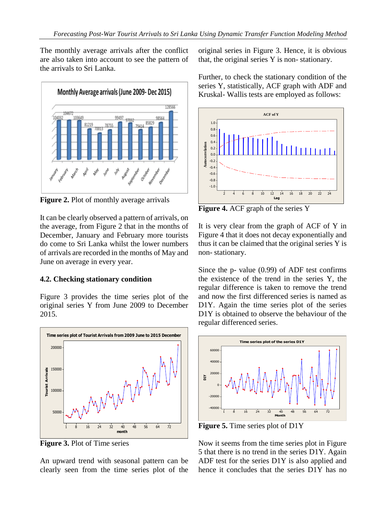The monthly average arrivals after the conflict are also taken into account to see the pattern of the arrivals to Sri Lanka.



**Figure 2.** Plot of monthly average arrivals

It can be clearly observed a pattern of arrivals, on the average, from Figure 2 that in the months of December, January and February more tourists do come to Sri Lanka whilst the lower numbers of arrivals are recorded in the months of May and June on average in every year.

## **4.2. Checking stationary condition**

Figure 3 provides the time series plot of the original series Y from June 2009 to December 2015.



**Figure 3.** Plot of Time series

An upward trend with seasonal pattern can be clearly seen from the time series plot of the

original series in Figure 3. Hence, it is obvious that, the original series Y is non- stationary.

Further, to check the stationary condition of the series Y, statistically, ACF graph with ADF and Kruskal- Wallis tests are employed as follows:



**Figure 4.** ACF graph of the series Y

It is very clear from the graph of ACF of Y in Figure 4 that it does not decay exponentially and thus it can be claimed that the original series Y is non- stationary.

Since the p- value (0.99) of ADF test confirms the existence of the trend in the series Y, the regular difference is taken to remove the trend and now the first differenced series is named as D1Y. Again the time series plot of the series D1Y is obtained to observe the behaviour of the regular differenced series.



**Figure 5.** Time series plot of D1Y

Now it seems from the time series plot in Figure 5 that there is no trend in the series D1Y. Again ADF test for the series D1Y is also applied and hence it concludes that the series D1Y has no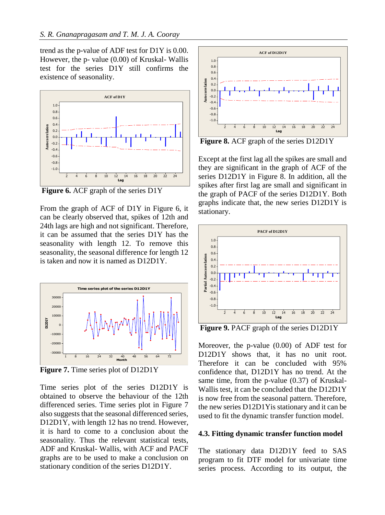trend as the p-value of ADF test for D1Y is 0.00. However, the p- value (0.00) of Kruskal- Wallis test for the series D1Y still confirms the existence of seasonality.



**Figure 6.** ACF graph of the series D1Y

From the graph of ACF of D1Y in Figure 6, it can be clearly observed that, spikes of 12th and 24th lags are high and not significant. Therefore, it can be assumed that the series D1Y has the seasonality with length 12. To remove this seasonality, the seasonal difference for length 12 is taken and now it is named as D12D1Y.



**Figure 7.** Time series plot of D12D1Y

Time series plot of the series D12D1Y is obtained to observe the behaviour of the 12th differenced series. Time series plot in Figure 7 also suggests that the seasonal differenced series, D12D1Y, with length 12 has no trend. However, it is hard to come to a conclusion about the seasonality. Thus the relevant statistical tests, ADF and Kruskal- Wallis, with ACF and PACF graphs are to be used to make a conclusion on stationary condition of the series D12D1Y.



**Figure 8.** ACF graph of the series D12D1Y

Except at the first lag all the spikes are small and they are significant in the graph of ACF of the series D12D1Y in Figure 8. In addition, all the spikes after first lag are small and significant in the graph of PACF of the series D12D1Y. Both graphs indicate that, the new series D12D1Y is stationary.



**Figure 9.** PACF graph of the series D12D1Y

Moreover, the p-value (0.00) of ADF test for D12D1Y shows that, it has no unit root. Therefore it can be concluded with 95% confidence that, D12D1Y has no trend. At the same time, from the p-value (0.37) of Kruskal-Wallis test, it can be concluded that the D12D1Y is now free from the seasonal pattern. Therefore, the new series D12D1Yis stationary and it can be used to fit the dynamic transfer function model.

#### **4.3. Fitting dynamic transfer function model**

The stationary data D12D1Y feed to SAS program to fit DTF model for univariate time series process. According to its output, the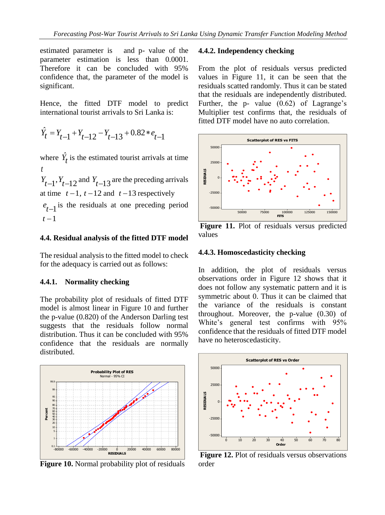estimated parameter is and p- value of the parameter estimation is less than 0.0001. Therefore it can be concluded with 95% confidence that, the parameter of the model is significant.

Hence, the fitted DTF model to predict international tourist arrivals to Sri Lanka is:

$$
\hat{Y}_t = Y_{t-1} + Y_{t-12} - Y_{t-13} + 0.82 \cdot e_{t-1}
$$

where  $\hat{Y}_t$  is the estimated tourist arrivals at time *t*

 $Y_{t-1}$ ,  $Y_{t-12}$  and  $Y_{t-13}$  are the preceding arrivals at time  $t-1$ ,  $t-12$  and  $t-13$  respectively

 $e_{t-1}$  is the residuals at one preceding period  $t-1$ 

# **4.4. Residual analysis of the fitted DTF model**

The residual analysis to the fitted model to check for the adequacy is carried out as follows:

## **4.4.1. Normality checking**

The probability plot of residuals of fitted DTF model is almost linear in Figure 10 and further the p-value (0.820) of the Anderson Darling test suggests that the residuals follow normal distribution. Thus it can be concluded with 95% confidence that the residuals are normally distributed.



**Figure 10.** Normal probability plot of residuals

## **4.4.2. Independency checking**

From the plot of residuals versus predicted values in Figure 11, it can be seen that the residuals scatted randomly. Thus it can be stated that the residuals are independently distributed. Further, the p- value (0.62) of Lagrange's Multiplier test confirms that, the residuals of fitted DTF model have no auto correlation.



**Figure 11.** Plot of residuals versus predicted values

# **4.4.3. Homoscedasticity checking**

In addition, the plot of residuals versus observations order in Figure 12 shows that it does not follow any systematic pattern and it is symmetric about 0. Thus it can be claimed that the variance of the residuals is constant throughout. Moreover, the p-value (0.30) of White's general test confirms with 95% confidence that the residuals of fitted DTF model have no heteroscedasticity.



**Figure 12.** Plot of residuals versus observations order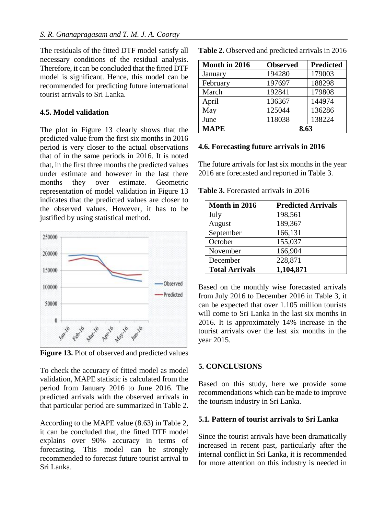The residuals of the fitted DTF model satisfy all necessary conditions of the residual analysis. Therefore, it can be concluded that the fitted DTF model is significant. Hence, this model can be recommended for predicting future international tourist arrivals to Sri Lanka.

## **4.5. Model validation**

The plot in Figure 13 clearly shows that the predicted value from the first six months in 2016 period is very closer to the actual observations that of in the same periods in 2016. It is noted that, in the first three months the predicted values under estimate and however in the last there months they over estimate. Geometric representation of model validation in Figure 13 indicates that the predicted values are closer to the observed values. However, it has to be justified by using statistical method.



**Figure 13.** Plot of observed and predicted values

To check the accuracy of fitted model as model validation, MAPE statistic is calculated from the period from January 2016 to June 2016. The predicted arrivals with the observed arrivals in that particular period are summarized in Table 2.

According to the MAPE value (8.63) in Table 2, it can be concluded that, the fitted DTF model explains over 90% accuracy in terms of forecasting. This model can be strongly recommended to forecast future tourist arrival to Sri Lanka.

| Month in 2016 | <b>Observed</b> | <b>Predicted</b> |  |
|---------------|-----------------|------------------|--|
| January       | 194280          | 179003           |  |
| February      | 197697          | 188298           |  |
| March         | 192841          | 179808           |  |
| April         | 136367          | 144974           |  |
| May           | 125044          | 136286           |  |
| June          | 118038          | 138224           |  |
| <b>MAPE</b>   | 8.63            |                  |  |

#### **4.6. Forecasting future arrivals in 2016**

The future arrivals for last six months in the year 2016 are forecasted and reported in Table 3.

**Table 3.** Forecasted arrivals in 2016

| Month in 2016         | <b>Predicted Arrivals</b> |  |  |
|-----------------------|---------------------------|--|--|
| July                  | 198,561                   |  |  |
| August                | 189,367                   |  |  |
| September             | 166,131                   |  |  |
| October               | 155,037                   |  |  |
| November              | 166,904                   |  |  |
| December              | 228,871                   |  |  |
| <b>Total Arrivals</b> | 1,104,871                 |  |  |

Based on the monthly wise forecasted arrivals from July 2016 to December 2016 in Table 3, it can be expected that over 1.105 million tourists will come to Sri Lanka in the last six months in 2016. It is approximately 14% increase in the tourist arrivals over the last six months in the year 2015.

## **5. CONCLUSIONS**

Based on this study, here we provide some recommendations which can be made to improve the tourism industry in Sri Lanka.

## **5.1. Pattern of tourist arrivals to Sri Lanka**

Since the tourist arrivals have been dramatically increased in recent past, particularly after the internal conflict in Sri Lanka, it is recommended for more attention on this industry is needed in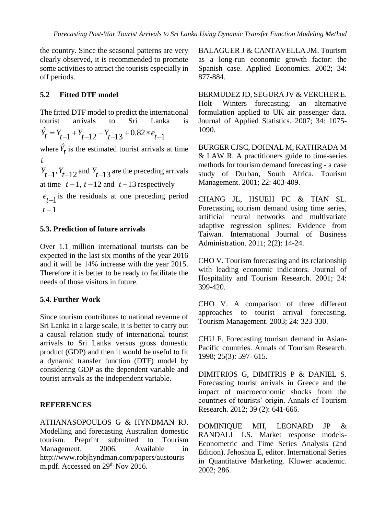the country. Since the seasonal patterns are very clearly observed, it is recommended to promote some activities to attract the tourists especially in off periods.

# **5.2 Fitted DTF model**

The fitted DTF model to predict the international tourist arrivals to Sri Lanka is  $\hat{Y}_t = Y_{t-1} + Y_{t-12} - Y_{t-13} + 0.82 * e_{t-1}$ 

where  $\hat{Y}_t$  is the estimated tourist arrivals at time *t*

 $Y_{t-1}$ ,  $Y_{t-12}$  and  $Y_{t-13}$  are the preceding arrivals at time  $t-1$ ,  $t-12$  and  $t-13$  respectively

 $e_{t-1}$  is the residuals at one preceding period  $t-1$ 

# **5.3. Prediction of future arrivals**

Over 1.1 million international tourists can be expected in the last six months of the year 2016 and it will be 14% increase with the year 2015. Therefore it is better to be ready to facilitate the needs of those visitors in future.

# **5.4. Further Work**

Since tourism contributes to national revenue of Sri Lanka in a large scale, it is better to carry out a causal relation study of international tourist arrivals to Sri Lanka versus gross domestic product (GDP) and then it would be useful to fit a dynamic transfer function (DTF) model by considering GDP as the dependent variable and tourist arrivals as the independent variable.

# **REFERENCES**

ATHANASOPOULOS G & HYNDMAN RJ. Modelling and forecasting Australian domestic tourism. Preprint submitted to Tourism Management. 2006. Available in http://www.robjhyndman.com/papers/austouris m.pdf. Accessed on 29<sup>th</sup> Nov 2016.

BALAGUER J & CANTAVELLA JM. Tourism as a long-run economic growth factor: the Spanish case. Applied Economics. 2002; 34: 877-884.

BERMUDEZ JD, SEGURA JV & VERCHER E. Holt- Winters forecasting: an alternative formulation applied to UK air passenger data. Journal of Applied Statistics. 2007; 34: 1075- 1090.

BURGER CJSC, DOHNAL M, KATHRADA M & LAW R. A practitioners guide to time-series methods for tourism demand forecasting - a case study of Durban, South Africa. Tourism Management. 2001; 22: 403-409.

CHANG JL, HSUEH FC & TIAN SL. Forecasting tourism demand using time series, artificial neural networks and multivariate adaptive regression splines: Evidence from Taiwan. International Journal of Business Administration. 2011; 2(2): 14-24.

CHO V. Tourism forecasting and its relationship with leading economic indicators. Journal of Hospitality and Tourism Research. 2001; 24: 399-420.

CHO V. A comparison of three different approaches to tourist arrival forecasting. Tourism Management. 2003; 24: 323-330.

CHU F. Forecasting tourism demand in Asian-Pacific countries. Annals of Tourism Research. 1998; 25(3): 597- 615.

DIMITRIOS G, DIMITRIS P & DANIEL S. Forecasting tourist arrivals in Greece and the impact of macroeconomic shocks from the countries of tourists' origin. Annals of Tourism Research. 2012; 39 (2): 641-666.

DOMINIQUE MH, LEONARD JP & RANDALL LS. Market response models-Econometric and Time Series Analysis (2nd Edition). Jehoshua E, editor. International Series in Quantitative Marketing. Kluwer academic. 2002; 286.